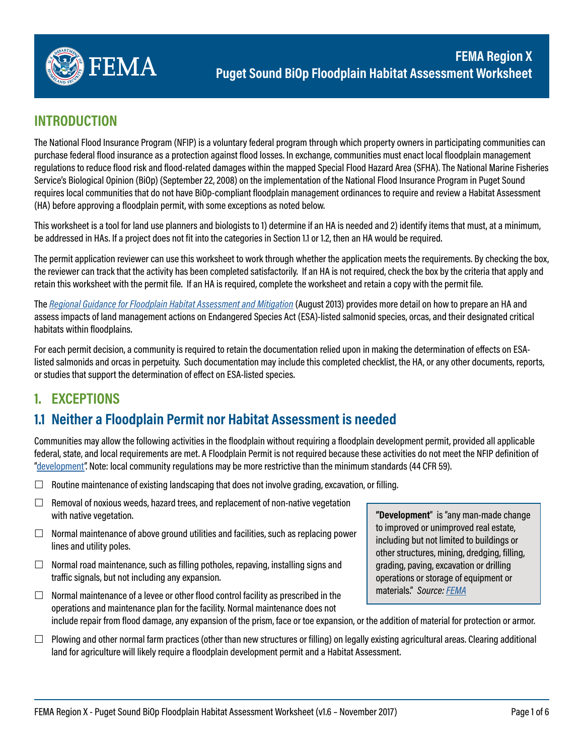

### **INTRODUCTION**

The National Flood Insurance Program (NFIP) is a voluntary federal program through which property owners in participating communities can purchase federal flood insurance as a protection against flood losses. In exchange, communities must enact local floodplain management regulations to reduce flood risk and flood-related damages within the mapped Special Flood Hazard Area (SFHA). The National Marine Fisheries Service's Biological Opinion (BiOp) (September 22, 2008) on the implementation of the National Flood Insurance Program in Puget Sound requires local communities that do not have BiOp-compliant floodplain management ordinances to require and review a Habitat Assessment (HA) before approving a floodplain permit, with some exceptions as noted below.

This worksheet is a tool for land use planners and biologists to 1) determine if an HA is needed and 2) identify items that must, at a minimum, be addressed in HAs. If a project does not fit into the categories in Section 1.1 or 1.2, then an HA would be required.

The permit application reviewer can use this worksheet to work through whether the application meets the requirements. By checking the box, the reviewer can track that the activity has been completed satisfactorily. If an HA is not required, check the box by the criteria that apply and retain this worksheet with the permit file. If an HA is required, complete the worksheet and retain a copy with the permit file.

The *[Regional Guidance for Floodplain Habitat Assessment and Mitigation](https://www.fema.gov/media-library-data/1383598118060-e34756afe271d52a0498b3a00105c87b/Puget_Sound_R10_Habitat_Assess_guide.pdf)* (August 2013) provides more detail on how to prepare an HA and assess impacts of land management actions on Endangered Species Act (ESA)-listed salmonid species, orcas, and their designated critical habitats within floodplains.

For each permit decision, a community is required to retain the documentation relied upon in making the determination of efects on ESAlisted salmonids and orcas in perpetuity. Such documentation may include this completed checklist, the HA, or any other documents, reports, or studies that support the determination of efect on ESA-listed species.

## **1. EXCEPTIONS**

## **1.1 Neither a Floodplain Permit nor Habitat Assessment is needed**

Communities may allow the following activities in the floodplain without requiring a floodplain development permit, provided all applicable federal, state, and local requirements are met. A Floodplain Permit is not required because these activities do not meet the NFIP definition of ["development](https://www.fema.gov/development)". Note: local community regulations may be more restrictive than the minimum standards (44 CFR 59).

- $\Box$  Routine maintenance of existing landscaping that does not involve grading, excavation, or filling.
- $\Box$  Removal of noxious weeds, hazard trees, and replacement of non-native vegetation with native vegetation.
- $\Box$  Normal maintenance of above ground utilities and facilities, such as replacing power lines and utility poles.
- $\Box$  Normal road maintenance, such as filling potholes, repaving, installing signs and trafic signals, but not including any expansion.
- $\Box$  Normal maintenance of a levee or other flood control facility as prescribed in the operations and maintenance plan for the facility. Normal maintenance does not include repair from flood damage, any expansion of the prism, face or toe expansion, or the addition of material for protection or armor.
- $\Box$  Plowing and other normal farm practices (other than new structures or filling) on legally existing agricultural areas. Clearing additional land for agriculture will likely require a floodplain development permit and a Habitat Assessment.

**"Development**" is "any man-made change to improved or unimproved real estate, including but not limited to buildings or other structures, mining, dredging, filling, grading, paving, excavation or drilling operations or storage of equipment or materials." *Source: [FEMA](https://www.fema.gov/development)*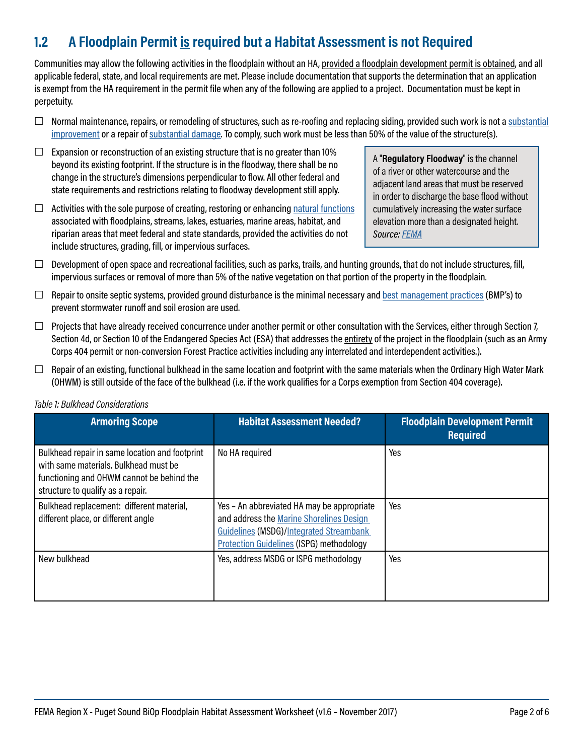# **1.2 A Floodplain Permit is required but a Habitat Assessment is not Required**

Communities may allow the following activities in the floodplain without an HA, provided a floodplain development permit is obtained, and all applicable federal, state, and local requirements are met. Please include documentation that supports the determination that an application is exempt from the HA requirement in the permit file when any of the following are applied to a project. Documentation must be kept in perpetuity.

- $\Box$  Normal maintenance, repairs, or remodeling of structures, such as re-roofing and replacing siding, provided such work is not a substantial [improvement](https://www.fema.gov/pdf/floodplain/nfip_sg_unit_8.pdf) or a repair of [substantial damage.](https://www.fema.gov/pdf/floodplain/nfip_sg_unit_8.pdf) To comply, such work must be less than 50% of the value of the structure(s).
- $\Box$  Expansion or reconstruction of an existing structure that is no greater than 10% beyond its existing footprint. If the structure is in the floodway, there shall be no change in the structure's dimensions perpendicular to flow. All other federal and state requirements and restrictions relating to floodway development still apply.
- $\Box$  Activities with the sole purpose of creating, restoring or enhancing natural functions associated with floodplains, streams, lakes, estuaries, marine areas, habitat, and riparian areas that meet federal and state standards, provided the activities do not include structures, grading, fill, or impervious surfaces.

A "**Regulatory Floodway**" is the channel of a river or other watercourse and the adjacent land areas that must be reserved in order to discharge the base flood without cumulatively increasing the water surface elevation more than a designated height. *Source: [FEMA](https://www.fema.gov/floodway)* 

- $\Box$  Development of open space and recreational facilities, such as parks, trails, and hunting grounds, that do not include structures, fill, impervious surfaces or removal of more than 5% of the native vegetation on that portion of the property in the floodplain.
- $\Box$  Repair to onsite septic systems, provided ground disturbance is the minimal necessary and [best management practices](https://www.epa.gov/npdes/national-menu-best-management-practices-bmps-stormwater#edu) (BMP's) to prevent stormwater runoff and soil erosion are used.
- $\Box$  Projects that have already received concurrence under another permit or other consultation with the Services, either through Section 7, Section 4d, or Section 10 of the Endangered Species Act (ESA) that addresses the entirety of the project in the floodplain (such as an Army Corps 404 permit or non-conversion Forest Practice activities including any interrelated and interdependent activities.).
- $\Box$  Repair of an existing, functional bulkhead in the same location and footprint with the same materials when the Ordinary High Water Mark (OHWM) is still outside of the face of the bulkhead (i.e. if the work qualifies for a Corps exemption from Section 404 coverage).

| <b>Armoring Scope</b>                                                                                                                                                     | <b>Habitat Assessment Needed?</b>                                                                                                                                                           | <b>Floodplain Development Permit</b><br><b>Required</b> |
|---------------------------------------------------------------------------------------------------------------------------------------------------------------------------|---------------------------------------------------------------------------------------------------------------------------------------------------------------------------------------------|---------------------------------------------------------|
| Bulkhead repair in same location and footprint<br>with same materials. Bulkhead must be<br>functioning and OHWM cannot be behind the<br>structure to qualify as a repair. | No HA required                                                                                                                                                                              | Yes                                                     |
| Bulkhead replacement: different material,<br>different place, or different angle                                                                                          | Yes - An abbreviated HA may be appropriate<br>and address the Marine Shorelines Design<br><b>Guidelines (MSDG)/Integrated Streambank</b><br><b>Protection Guidelines (ISPG) methodology</b> | Yes                                                     |
| New bulkhead                                                                                                                                                              | Yes, address MSDG or ISPG methodology                                                                                                                                                       | Yes                                                     |

#### *Table 1: Bulkhead Considerations*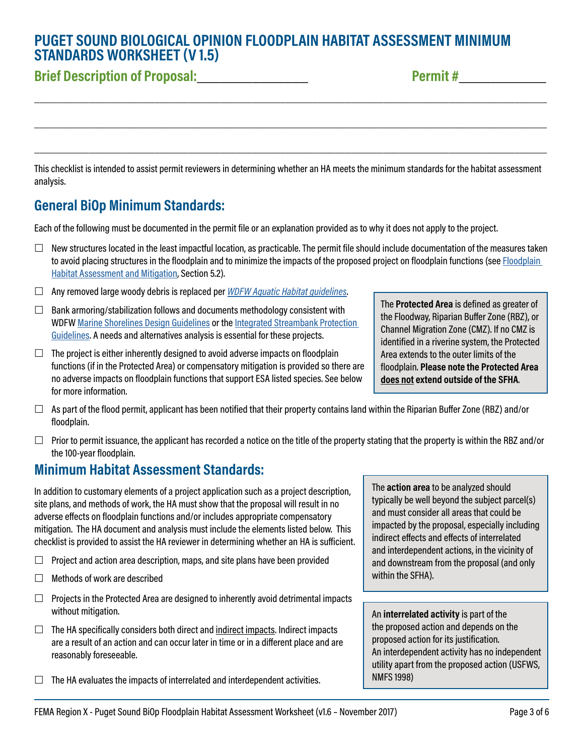### **PUGET SOUND BIOLOGICAL OPINION FLOODPLAIN HABITAT ASSESSMENT MINIMUM STANDARDS WORKSHEET (V 1.5)**

# **Brief Description of Proposal:**\_\_\_\_\_\_\_\_\_\_\_\_\_\_ **Permit #**\_\_\_\_\_\_\_\_\_\_\_

This checklist is intended to assist permit reviewers in determining whether an HA meets the minimum standards for the habitat assessment analysis.

\_\_\_\_\_\_\_\_\_\_\_\_\_\_\_\_\_\_\_\_\_\_\_\_\_\_\_\_\_\_\_\_\_\_\_\_\_\_\_\_\_\_\_\_\_\_\_\_\_\_\_\_\_\_\_\_\_\_\_\_\_\_\_\_\_\_\_\_\_\_\_\_\_\_\_\_\_\_\_\_\_\_\_\_\_\_\_\_\_\_\_\_\_\_

\_\_\_\_\_\_\_\_\_\_\_\_\_\_\_\_\_\_\_\_\_\_\_\_\_\_\_\_\_\_\_\_\_\_\_\_\_\_\_\_\_\_\_\_\_\_\_\_\_\_\_\_\_\_\_\_\_\_\_\_\_\_\_\_\_\_\_\_\_\_\_\_\_\_\_\_\_\_\_\_\_\_\_\_\_\_\_\_\_\_\_\_\_\_

\_\_\_\_\_\_\_\_\_\_\_\_\_\_\_\_\_\_\_\_\_\_\_\_\_\_\_\_\_\_\_\_\_\_\_\_\_\_\_\_\_\_\_\_\_\_\_\_\_\_\_\_\_\_\_\_\_\_\_\_\_\_\_\_\_\_\_\_\_\_\_\_\_\_\_\_\_\_\_\_\_\_\_\_\_\_\_\_\_\_\_\_\_\_

## **General BiOp Minimum Standards:**

Each of the following must be documented in the permit file or an explanation provided as to why it does not apply to the project.

- $\Box$  New structures located in the least impactful location, as practicable. The permit file should include documentation of the measures taken to avoid placing structures in the floodplain and to minimize the impacts of the proposed project on floodplain functions (see [Floodplain](https://www.fema.gov/media-library-data/1383598118060-e34756afe271d52a0498b3a00105c87b/Puget_Sound_R10_Habitat_Assess_guide.pdf)  [Habitat Assessment and Mitigation,](https://www.fema.gov/media-library-data/1383598118060-e34756afe271d52a0498b3a00105c87b/Puget_Sound_R10_Habitat_Assess_guide.pdf) Section 5.2).
- Any removed large woody debris is replaced per *[WDFW Aquatic Habitat guidelines](http://wdfw.wa.gov/conservation/habitat/planning/ahg/)*.
- $\Box$  Bank armoring/stabilization follows and documents methodology consistent with WDFW [Marine Shorelines Design Guidelines](http://wdfw.wa.gov/publications/01583/) or the [Integrated Streambank Protection](http://wdfw.wa.gov/publications/00046/)  [Guidelines](http://wdfw.wa.gov/publications/00046/). A needs and alternatives analysis is essential for these projects.
- $\Box$  The project is either inherently designed to avoid adverse impacts on floodplain functions (if in the Protected Area) or compensatory mitigation is provided so there are no adverse impacts on floodplain functions that support ESA listed species. See below for more information.
- $\Box$  As part of the flood permit, applicant has been notified that their property contains land within the Riparian Buffer Zone (RBZ) and/or floodplain.
- $\Box$  Prior to permit issuance, the applicant has recorded a notice on the title of the property stating that the property is within the RBZ and/or the 100-year floodplain.

#### **Minimum Habitat Assessment Standards:**

In addition to customary elements of a project application such as a project description, site plans, and methods of work, the HA must show that the proposal will result in no adverse efects on floodplain functions and/or includes appropriate compensatory mitigation. The HA document and analysis must include the elements listed below. This checklist is provided to assist the HA reviewer in determining whether an HA is suficient.

- $\Box$  Project and action area description, maps, and site plans have been provided
- $\Box$  Methods of work are described
- $\Box$  Projects in the Protected Area are designed to inherently avoid detrimental impacts without mitigation.
- $\Box$  The HA specifically considers both direct and indirect impacts. Indirect impacts are a result of an action and can occur later in time or in a diferent place and are reasonably foreseeable.
- $\Box$  The HA evaluates the impacts of interrelated and interdependent activities.

The **Protected Area** is defined as greater of the Floodway, Riparian Bufer Zone (RBZ), or Channel Migration Zone (CMZ). If no CMZ is identified in a riverine system, the Protected Area extends to the outer limits of the floodplain. **Please note the Protected Area does not extend outside of the SFHA**.

The **action area** to be analyzed should typically be well beyond the subject parcel(s) and must consider all areas that could be impacted by the proposal, especially including indirect efects and efects of interrelated and interdependent actions, in the vicinity of and downstream from the proposal (and only within the SFHA).

An **interrelated activity** is part of the the proposed action and depends on the proposed action for its justification. An interdependent activity has no independent utility apart from the proposed action (USFWS, NMFS 1998)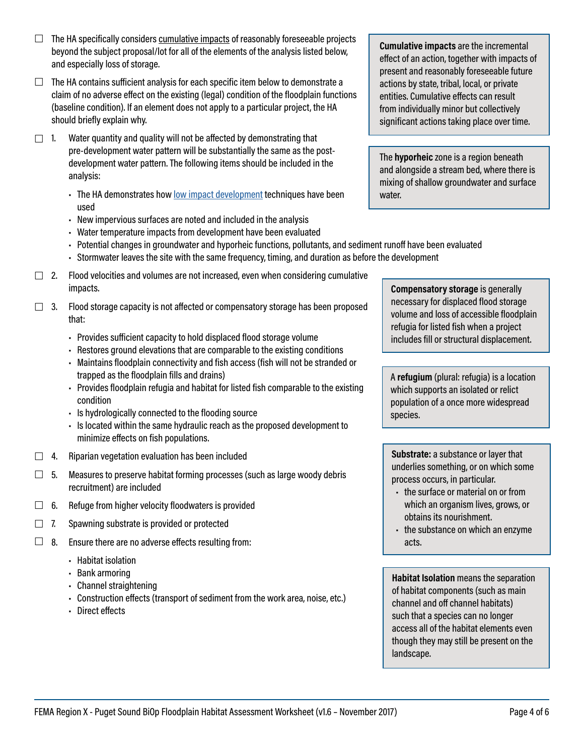- $\Box$  The HA specifically considers cumulative impacts of reasonably foreseeable projects beyond the subject proposal/lot for all of the elements of the analysis listed below, and especially loss of storage.
- $\Box$  The HA contains sufficient analysis for each specific item below to demonstrate a claim of no adverse efect on the existing (legal) condition of the floodplain functions (baseline condition). If an element does not apply to a particular project, the HA should briefly explain why.
- $\Box$  1. Water quantity and quality will not be affected by demonstrating that pre-development water pattern will be substantially the same as the postdevelopment water pattern. The following items should be included in the analysis:
	- The HA demonstrates how [low impact development](https://www.fema.gov/media-library-data/1383596596532-94f2a37c9271cd8b97efff7f54874a99/FAQ_Low_Impact_Development.pdf) techniques have been used
	- New impervious surfaces are noted and included in the analysis
	- Water temperature impacts from development have been evaluated
	- Potential changes in groundwater and hyporheic functions, pollutants, and sediment runoff have been evaluated
	- Stormwater leaves the site with the same frequency, timing, and duration as before the development
- $\Box$  2. Flood velocities and volumes are not increased, even when considering cumulative impacts.
- $\Box$  3. Flood storage capacity is not affected or compensatory storage has been proposed that:
	- Provides suficient capacity to hold displaced flood storage volume
	- Restores ground elevations that are comparable to the existing conditions
	- Maintains floodplain connectivity and fish access (fish will not be stranded or trapped as the floodplain fills and drains)
	- Provides floodplain refugia and habitat for listed fish comparable to the existing condition
	- Is hydrologically connected to the flooding source
	- Is located within the same hydraulic reach as the proposed development to minimize efects on fish populations.
- $\Box$  4. Riparian vegetation evaluation has been included
- $\Box$  5. Measures to preserve habitat forming processes (such as large woody debris recruitment) are included
- $\Box$  6. Refuge from higher velocity floodwaters is provided
- $\Box$  7. Spawning substrate is provided or protected
- $\Box$  8. Ensure there are no adverse effects resulting from:
	- Habitat isolation
	- Bank armoring
	- Channel straightening
	- Construction efects (transport of sediment from the work area, noise, etc.)
	- Direct effects

**Cumulative impacts** are the incremental efect of an action, together with impacts of present and reasonably foreseeable future actions by state, tribal, local, or private entities. Cumulative efects can result from individually minor but collectively significant actions taking place over time.

The **hyporheic** zone is a region beneath and alongside a stream bed, where there is mixing of shallow groundwater and surface water.

**Compensatory storage** is generally necessary for displaced flood storage volume and loss of accessible floodplain refugia for listed fish when a project includes fill or structural displacement.

A **refugium** (plural: refugia) is a location which supports an isolated or relict population of a once more widespread species.

**Substrate:** a substance or layer that underlies something, or on which some process occurs, in particular.

- the surface or material on or from which an organism lives, grows, or obtains its nourishment.
- the substance on which an enzyme acts.

**Habitat Isolation** means the separation of habitat components (such as main channel and off channel habitats) such that a species can no longer access all of the habitat elements even though they may still be present on the landscape.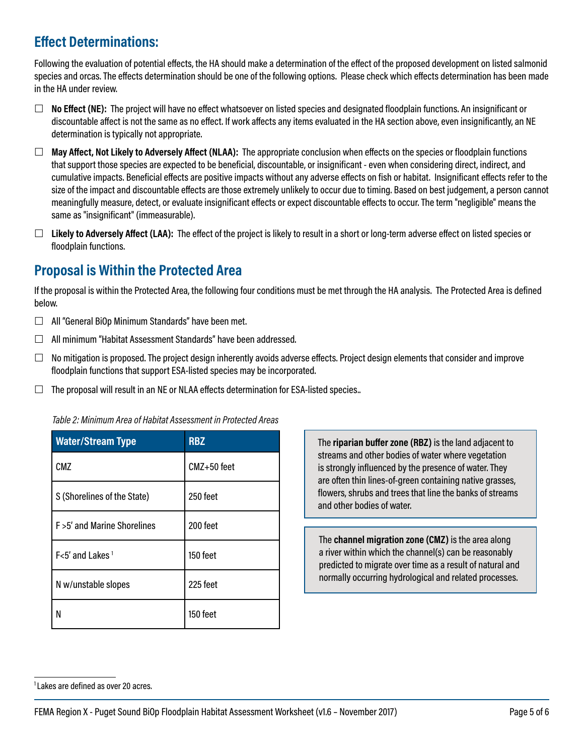# **Efect Determinations:**

Following the evaluation of potential efects, the HA should make a determination of the efect of the proposed development on listed salmonid species and orcas. The efects determination should be one of the following options. Please check which efects determination has been made in the HA under review.

- **No Efect (NE):** The project will have no efect whatsoever on listed species and designated floodplain functions. An insignificant or discountable afect is not the same as no efect. If work afects any items evaluated in the HA section above, even insignificantly, an NE determination is typically not appropriate.
- **May Afect, Not Likely to Adversely Afect (NLAA):** The appropriate conclusion when efects on the species or floodplain functions that support those species are expected to be beneficial, discountable, or insignificant - even when considering direct, indirect, and cumulative impacts. Beneficial efects are positive impacts without any adverse efects on fish or habitat. Insignificant efects refer to the size of the impact and discountable efects are those extremely unlikely to occur due to timing. Based on best judgement, a person cannot meaningfully measure, detect, or evaluate insignificant efects or expect discountable efects to occur. The term "negligible" means the same as "insignificant" (immeasurable).
- **Likely to Adversely Afect (LAA):** The efect of the project is likely to result in a short or long-term adverse efect on listed species or floodplain functions.

## **Proposal is Within the Protected Area**

If the proposal is within the Protected Area, the following four conditions must be met through the HA analysis. The Protected Area is defined below.

- $\Box$  All "General BiOp Minimum Standards" have been met.
- $\Box$  All minimum "Habitat Assessment Standards" have been addressed.
- $\Box$  No mitigation is proposed. The project design inherently avoids adverse effects. Project design elements that consider and improve floodplain functions that support ESA-listed species may be incorporated.
- $\Box$  The proposal will result in an NE or NLAA effects determination for ESA-listed species..

| <b>Water/Stream Type</b>     | <b>RBZ</b>  |  |
|------------------------------|-------------|--|
| CMZ                          | CMZ+50 feet |  |
| S (Shorelines of the State)  | 250 feet    |  |
| F > 5' and Marine Shorelines | 200 feet    |  |
| F<5' and Lakes <sup>1</sup>  | 150 feet    |  |
| N w/unstable slopes          | 225 feet    |  |
| N                            | 150 feet    |  |

*Table 2: Minimum Area of Habitat Assessment in Protected Areas* 

The **riparian bufer zone (RBZ)** is the land adjacent to streams and other bodies of water where vegetation is strongly influenced by the presence of water. They are often thin lines-of-green containing native grasses, flowers, shrubs and trees that line the banks of streams and other bodies of water.

The **channel migration zone (CMZ)** is the area along a river within which the channel(s) can be reasonably predicted to migrate over time as a result of natural and normally occurring hydrological and related processes.

 $1$  Lakes are defined as over 20 acres.